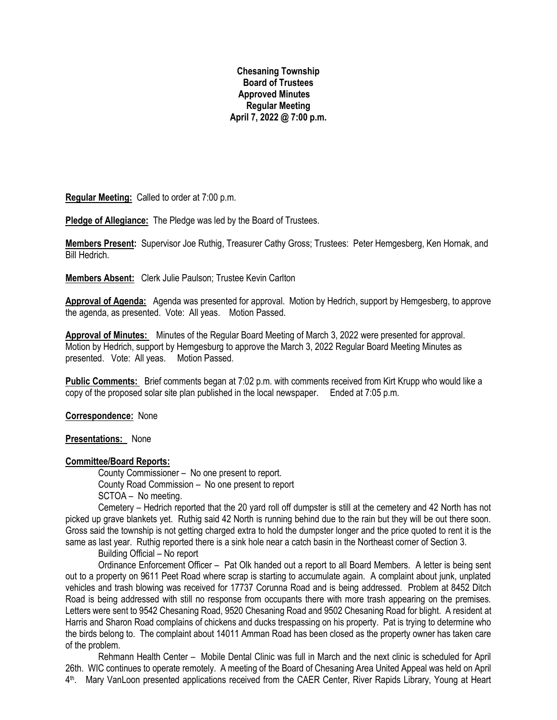### **Chesaning Township Board of Trustees Approved Minutes Regular Meeting April 7, 2022 @ 7:00 p.m.**

**Regular Meeting:** Called to order at 7:00 p.m.

**Pledge of Allegiance:** The Pledge was led by the Board of Trustees.

**Members Present:** Supervisor Joe Ruthig, Treasurer Cathy Gross; Trustees: Peter Hemgesberg, Ken Hornak, and Bill Hedrich.

**Members Absent:** Clerk Julie Paulson; Trustee Kevin Carlton

**Approval of Agenda:** Agenda was presented for approval. Motion by Hedrich, support by Hemgesberg, to approve the agenda, as presented. Vote: All yeas. Motion Passed.

**Approval of Minutes:** Minutes of the Regular Board Meeting of March 3, 2022 were presented for approval. Motion by Hedrich, support by Hemgesburg to approve the March 3, 2022 Regular Board Meeting Minutes as presented. Vote: All yeas. Motion Passed.

**Public Comments:** Brief comments began at 7:02 p.m. with comments received from Kirt Krupp who would like a copy of the proposed solar site plan published in the local newspaper. Ended at 7:05 p.m.

**Correspondence:** None

**Presentations:** None

### **Committee/Board Reports:**

County Commissioner – No one present to report. County Road Commission – No one present to report SCTOA – No meeting.

Cemetery – Hedrich reported that the 20 yard roll off dumpster is still at the cemetery and 42 North has not picked up grave blankets yet. Ruthig said 42 North is running behind due to the rain but they will be out there soon. Gross said the township is not getting charged extra to hold the dumpster longer and the price quoted to rent it is the same as last year. Ruthig reported there is a sink hole near a catch basin in the Northeast corner of Section 3.

Building Official – No report

Ordinance Enforcement Officer – Pat Olk handed out a report to all Board Members. A letter is being sent out to a property on 9611 Peet Road where scrap is starting to accumulate again. A complaint about junk, unplated vehicles and trash blowing was received for 17737 Corunna Road and is being addressed. Problem at 8452 Ditch Road is being addressed with still no response from occupants there with more trash appearing on the premises. Letters were sent to 9542 Chesaning Road, 9520 Chesaning Road and 9502 Chesaning Road for blight. A resident at Harris and Sharon Road complains of chickens and ducks trespassing on his property. Pat is trying to determine who the birds belong to. The complaint about 14011 Amman Road has been closed as the property owner has taken care of the problem.

Rehmann Health Center – Mobile Dental Clinic was full in March and the next clinic is scheduled for April 26th. WIC continues to operate remotely. A meeting of the Board of Chesaning Area United Appeal was held on April 4 th. Mary VanLoon presented applications received from the CAER Center, River Rapids Library, Young at Heart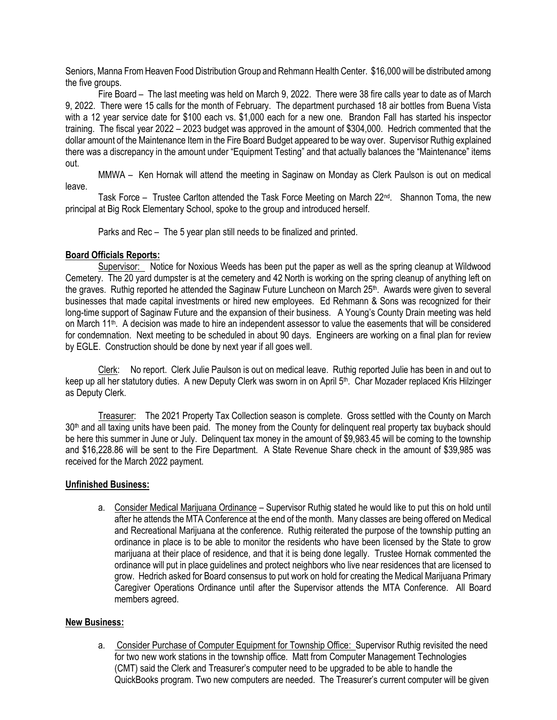Seniors, Manna From Heaven Food Distribution Group and Rehmann Health Center. \$16,000 will be distributed among the five groups.

Fire Board – The last meeting was held on March 9, 2022. There were 38 fire calls year to date as of March 9, 2022. There were 15 calls for the month of February. The department purchased 18 air bottles from Buena Vista with a 12 year service date for \$100 each vs. \$1,000 each for a new one. Brandon Fall has started his inspector training. The fiscal year 2022 – 2023 budget was approved in the amount of \$304,000. Hedrich commented that the dollar amount of the Maintenance Item in the Fire Board Budget appeared to be way over. Supervisor Ruthig explained there was a discrepancy in the amount under "Equipment Testing" and that actually balances the "Maintenance" items out.

MMWA – Ken Hornak will attend the meeting in Saginaw on Monday as Clerk Paulson is out on medical leave.

Task Force – Trustee Carlton attended the Task Force Meeting on March 22<sup>nd</sup>. Shannon Toma, the new principal at Big Rock Elementary School, spoke to the group and introduced herself.

Parks and Rec – The 5 year plan still needs to be finalized and printed.

## **Board Officials Reports:**

Supervisor: Notice for Noxious Weeds has been put the paper as well as the spring cleanup at Wildwood Cemetery. The 20 yard dumpster is at the cemetery and 42 North is working on the spring cleanup of anything left on the graves. Ruthig reported he attended the Saginaw Future Luncheon on March 25<sup>th</sup>. Awards were given to several businesses that made capital investments or hired new employees. Ed Rehmann & Sons was recognized for their long-time support of Saginaw Future and the expansion of their business. A Young's County Drain meeting was held on March 11<sup>th</sup>. A decision was made to hire an independent assessor to value the easements that will be considered for condemnation. Next meeting to be scheduled in about 90 days. Engineers are working on a final plan for review by EGLE. Construction should be done by next year if all goes well.

Clerk: No report. Clerk Julie Paulson is out on medical leave. Ruthig reported Julie has been in and out to keep up all her statutory duties. A new Deputy Clerk was sworn in on April 5<sup>th</sup>. Char Mozader replaced Kris Hilzinger as Deputy Clerk.

Treasurer: The 2021 Property Tax Collection season is complete. Gross settled with the County on March 30<sup>th</sup> and all taxing units have been paid. The money from the County for delinguent real property tax buyback should be here this summer in June or July. Delinquent tax money in the amount of \$9,983.45 will be coming to the township and \$16,228.86 will be sent to the Fire Department. A State Revenue Share check in the amount of \$39,985 was received for the March 2022 payment.

### **Unfinished Business:**

a. Consider Medical Marijuana Ordinance – Supervisor Ruthig stated he would like to put this on hold until after he attends the MTA Conference at the end of the month. Many classes are being offered on Medical and Recreational Marijuana at the conference. Ruthig reiterated the purpose of the township putting an ordinance in place is to be able to monitor the residents who have been licensed by the State to grow marijuana at their place of residence, and that it is being done legally. Trustee Hornak commented the ordinance will put in place guidelines and protect neighbors who live near residences that are licensed to grow. Hedrich asked for Board consensus to put work on hold for creating the Medical Marijuana Primary Caregiver Operations Ordinance until after the Supervisor attends the MTA Conference. All Board members agreed.

# **New Business:**

a. Consider Purchase of Computer Equipment for Township Office: Supervisor Ruthig revisited the need for two new work stations in the township office. Matt from Computer Management Technologies (CMT) said the Clerk and Treasurer's computer need to be upgraded to be able to handle the QuickBooks program. Two new computers are needed. The Treasurer's current computer will be given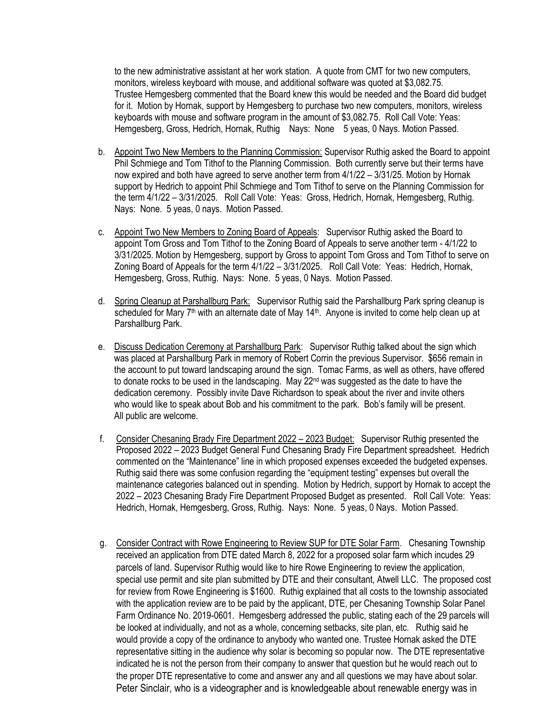to the new administrative assistant at her work station. A quote from CMT for two new computers, monitors, wireless keyboard with mouse, and additional software was quoted at \$3,082.75. Trustee Hemgesberg commented that the Board knew this would be needed and the Board did budget for it. Motion by Hornak, support by Hemgesberg to purchase two new computers, monitors, wireless keyboards with mouse and software program in the amount of \$3,082.75. Roll Call Vote: Yeas: Hemgesberg, Gross, Hedrich, Hornak, Ruthig Nays: None 5 yeas, 0 Nays. Motion Passed.

- b. Appoint Two New Members to the Planning Commission: Supervisor Ruthig asked the Board to appoint Phil Schmiege and Tom Tithof to the Planning Commission. Both currently serve but their terms have now expired and both have agreed to serve another term from 4/1/22 – 3/31/25. Motion by Hornak support by Hedrich to appoint Phil Schmiege and Tom Tithof to serve on the Planning Commission for the term 4/1/22 – 3/31/2025. Roll Call Vote: Yeas: Gross, Hedrich, Hornak, Hemgesberg, Ruthig. Nays: None. 5 yeas, 0 nays. Motion Passed.
- c. Appoint Two New Members to Zoning Board of Appeals: Supervisor Ruthig asked the Board to appoint Tom Gross and Tom Tithof to the Zoning Board of Appeals to serve another term - 4/1/22 to 3/31/2025. Motion by Hemgesberg, support by Gross to appoint Tom Gross and Tom Tithof to serve on Zoning Board of Appeals for the term 4/1/22 – 3/31/2025. Roll Call Vote: Yeas: Hedrich, Hornak, Hemgesberg, Gross, Ruthig. Nays: None. 5 yeas, 0 Nays. Motion Passed.
- d. Spring Cleanup at Parshallburg Park: Supervisor Ruthig said the Parshallburg Park spring cleanup is scheduled for Mary  $7<sup>th</sup>$  with an alternate date of May 14 $<sup>th</sup>$ . Anyone is invited to come help clean up at</sup> Parshallburg Park.
- e. Discuss Dedication Ceremony at Parshallburg Park: Supervisor Ruthig talked about the sign which was placed at Parshallburg Park in memory of Robert Corrin the previous Supervisor. \$656 remain in the account to put toward landscaping around the sign. Tomac Farms, as well as others, have offered to donate rocks to be used in the landscaping. May 22<sup>nd</sup> was suggested as the date to have the dedication ceremony. Possibly invite Dave Richardson to speak about the river and invite others who would like to speak about Bob and his commitment to the park. Bob's family will be present. All public are welcome.
- f. Consider Chesaning Brady Fire Department 2022 2023 Budget: Supervisor Ruthig presented the Proposed 2022 – 2023 Budget General Fund Chesaning Brady Fire Department spreadsheet. Hedrich commented on the "Maintenance" line in which proposed expenses exceeded the budgeted expenses. Ruthig said there was some confusion regarding the "equipment testing" expenses but overall the maintenance categories balanced out in spending. Motion by Hedrich, support by Hornak to accept the 2022 – 2023 Chesaning Brady Fire Department Proposed Budget as presented. Roll Call Vote: Yeas: Hedrich, Hornak, Hemgesberg, Gross, Ruthig. Nays: None. 5 yeas, 0 Nays. Motion Passed.
- g. Consider Contract with Rowe Engineering to Review SUP for DTE Solar Farm. Chesaning Township received an application from DTE dated March 8, 2022 for a proposed solar farm which incudes 29 parcels of land. Supervisor Ruthig would like to hire Rowe Engineering to review the application, special use permit and site plan submitted by DTE and their consultant, Atwell LLC. The proposed cost for review from Rowe Engineering is \$1600. Ruthig explained that all costs to the township associated with the application review are to be paid by the applicant, DTE, per Chesaning Township Solar Panel Farm Ordinance No. 2019-0601. Hemgesberg addressed the public, stating each of the 29 parcels will be looked at individually, and not as a whole, concerning setbacks, site plan, etc. Ruthig said he would provide a copy of the ordinance to anybody who wanted one. Trustee Hornak asked the DTE representative sitting in the audience why solar is becoming so popular now. The DTE representative indicated he is not the person from their company to answer that question but he would reach out to the proper DTE representative to come and answer any and all questions we may have about solar. Peter Sinclair, who is a videographer and is knowledgeable about renewable energy was in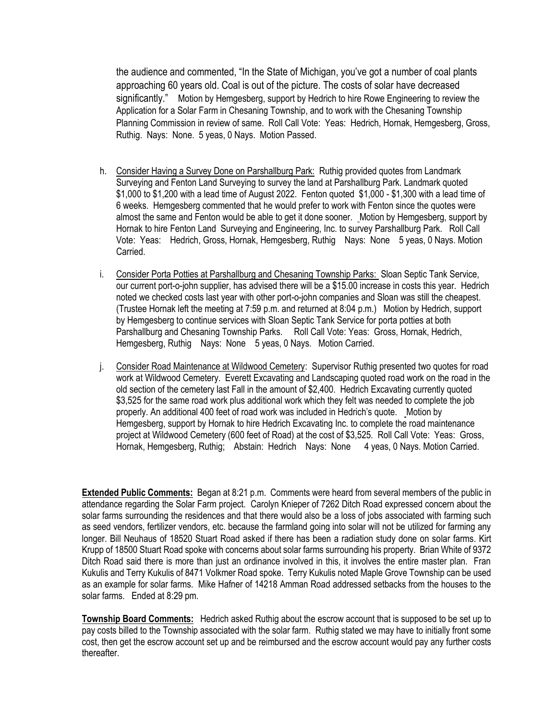the audience and commented, "In the State of Michigan, you've got a number of coal plants approaching 60 years old. Coal is out of the picture. The costs of solar have decreased significantly." Motion by Hemgesberg, support by Hedrich to hire Rowe Engineering to review the Application for a Solar Farm in Chesaning Township, and to work with the Chesaning Township Planning Commission in review of same. Roll Call Vote: Yeas: Hedrich, Hornak, Hemgesberg, Gross, Ruthig. Nays: None. 5 yeas, 0 Nays. Motion Passed.

- h. Consider Having a Survey Done on Parshallburg Park: Ruthig provided quotes from Landmark Surveying and Fenton Land Surveying to survey the land at Parshallburg Park. Landmark quoted \$1,000 to \$1,200 with a lead time of August 2022. Fenton quoted \$1,000 - \$1,300 with a lead time of 6 weeks. Hemgesberg commented that he would prefer to work with Fenton since the quotes were almost the same and Fenton would be able to get it done sooner. Motion by Hemgesberg, support by Hornak to hire Fenton Land Surveying and Engineering, Inc. to survey Parshallburg Park. Roll Call Vote: Yeas: Hedrich, Gross, Hornak, Hemgesberg, Ruthig Nays: None 5 yeas, 0 Nays. Motion Carried.
- i. Consider Porta Potties at Parshallburg and Chesaning Township Parks: Sloan Septic Tank Service, our current port-o-john supplier, has advised there will be a \$15.00 increase in costs this year. Hedrich noted we checked costs last year with other port-o-john companies and Sloan was still the cheapest. (Trustee Hornak left the meeting at 7:59 p.m. and returned at 8:04 p.m.) Motion by Hedrich, support by Hemgesberg to continue services with Sloan Septic Tank Service for porta potties at both Parshallburg and Chesaning Township Parks. Roll Call Vote: Yeas: Gross, Hornak, Hedrich, Hemgesberg, Ruthig Nays: None 5 yeas, 0 Nays. Motion Carried.
- j. Consider Road Maintenance at Wildwood Cemetery: Supervisor Ruthig presented two quotes for road work at Wildwood Cemetery. Everett Excavating and Landscaping quoted road work on the road in the old section of the cemetery last Fall in the amount of \$2,400. Hedrich Excavating currently quoted \$3,525 for the same road work plus additional work which they felt was needed to complete the job properly. An additional 400 feet of road work was included in Hedrich's quote. Motion by Hemgesberg, support by Hornak to hire Hedrich Excavating Inc. to complete the road maintenance project at Wildwood Cemetery (600 feet of Road) at the cost of \$3,525. Roll Call Vote: Yeas: Gross, Hornak, Hemgesberg, Ruthig; Abstain: Hedrich Nays: None 4 yeas, 0 Nays. Motion Carried.

**Extended Public Comments:** Began at 8:21 p.m. Comments were heard from several members of the public in attendance regarding the Solar Farm project. Carolyn Knieper of 7262 Ditch Road expressed concern about the solar farms surrounding the residences and that there would also be a loss of jobs associated with farming such as seed vendors, fertilizer vendors, etc. because the farmland going into solar will not be utilized for farming any longer. Bill Neuhaus of 18520 Stuart Road asked if there has been a radiation study done on solar farms. Kirt Krupp of 18500 Stuart Road spoke with concerns about solar farms surrounding his property. Brian White of 9372 Ditch Road said there is more than just an ordinance involved in this, it involves the entire master plan. Fran Kukulis and Terry Kukulis of 8471 Volkmer Road spoke. Terry Kukulis noted Maple Grove Township can be used as an example for solar farms. Mike Hafner of 14218 Amman Road addressed setbacks from the houses to the solar farms. Ended at 8:29 pm.

**Township Board Comments:** Hedrich asked Ruthig about the escrow account that is supposed to be set up to pay costs billed to the Township associated with the solar farm. Ruthig stated we may have to initially front some cost, then get the escrow account set up and be reimbursed and the escrow account would pay any further costs thereafter.